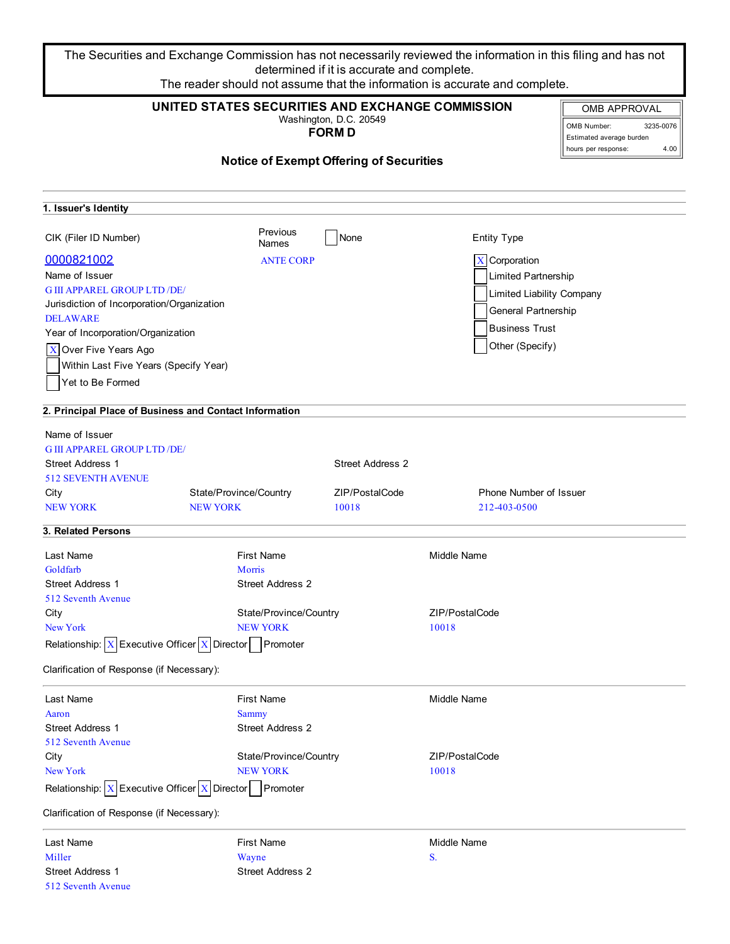The Securities and Exchange Commission has not necessarily reviewed the information in this filing and has not determined if it is accurate and complete. The reader should not assume that the information is accurate and complete.

| UNITED STATES SECURITIES AND EXCHANGE COMMISSION<br>Washington, D.C. 20549<br><b>FORMD</b> |                         |                                                |                           | <b>OMB APPROVAL</b><br>OMB Number:<br>3235-0076<br>Estimated average burden<br>4.00<br>hours per response: |
|--------------------------------------------------------------------------------------------|-------------------------|------------------------------------------------|---------------------------|------------------------------------------------------------------------------------------------------------|
|                                                                                            |                         | <b>Notice of Exempt Offering of Securities</b> |                           |                                                                                                            |
| 1. Issuer's Identity                                                                       |                         |                                                |                           |                                                                                                            |
| CIK (Filer ID Number)                                                                      | Previous<br>Names       | None                                           | <b>Entity Type</b>        |                                                                                                            |
| 0000821002                                                                                 | <b>ANTE CORP</b>        |                                                | $X$ Corporation           |                                                                                                            |
| Name of Issuer                                                                             |                         |                                                | Limited Partnership       |                                                                                                            |
| <b>G III APPAREL GROUP LTD /DE/</b>                                                        |                         |                                                | Limited Liability Company |                                                                                                            |
| Jurisdiction of Incorporation/Organization                                                 |                         |                                                |                           |                                                                                                            |
| <b>DELAWARE</b>                                                                            |                         |                                                | General Partnership       |                                                                                                            |
| Year of Incorporation/Organization                                                         |                         |                                                | <b>Business Trust</b>     |                                                                                                            |
| X Over Five Years Ago                                                                      |                         |                                                | Other (Specify)           |                                                                                                            |
| Within Last Five Years (Specify Year)                                                      |                         |                                                |                           |                                                                                                            |
| Yet to Be Formed                                                                           |                         |                                                |                           |                                                                                                            |
| 2. Principal Place of Business and Contact Information                                     |                         |                                                |                           |                                                                                                            |
| Name of Issuer                                                                             |                         |                                                |                           |                                                                                                            |
| <b>G III APPAREL GROUP LTD /DE/</b>                                                        |                         |                                                |                           |                                                                                                            |
| <b>Street Address 1</b>                                                                    |                         | Street Address 2                               |                           |                                                                                                            |
| <b>512 SEVENTH AVENUE</b>                                                                  |                         |                                                |                           |                                                                                                            |
| City                                                                                       | State/Province/Country  | ZIP/PostalCode                                 | Phone Number of Issuer    |                                                                                                            |
| <b>NEW YORK</b>                                                                            | <b>NEW YORK</b>         | 10018                                          | 212-403-0500              |                                                                                                            |
| 3. Related Persons                                                                         |                         |                                                |                           |                                                                                                            |
| Last Name                                                                                  | <b>First Name</b>       |                                                | Middle Name               |                                                                                                            |
| Goldfarb                                                                                   | Morris                  |                                                |                           |                                                                                                            |
| <b>Street Address 1</b>                                                                    | <b>Street Address 2</b> |                                                |                           |                                                                                                            |
| 512 Seventh Avenue                                                                         |                         |                                                |                           |                                                                                                            |
| City                                                                                       | State/Province/Country  |                                                | ZIP/PostalCode            |                                                                                                            |
| New York                                                                                   | <b>NEW YORK</b>         |                                                | 10018                     |                                                                                                            |
| Relationship: $\boxed{X}$ Executive Officer $\boxed{X}$ Director Promoter                  |                         |                                                |                           |                                                                                                            |
| Clarification of Response (if Necessary):                                                  |                         |                                                |                           |                                                                                                            |
| Last Name                                                                                  | <b>First Name</b>       |                                                | <b>Middle Name</b>        |                                                                                                            |
| Aaron                                                                                      | <b>Sammy</b>            |                                                |                           |                                                                                                            |
| <b>Street Address 1</b>                                                                    | <b>Street Address 2</b> |                                                |                           |                                                                                                            |
| 512 Seventh Avenue                                                                         |                         |                                                |                           |                                                                                                            |
| City                                                                                       | State/Province/Country  |                                                | ZIP/PostalCode            |                                                                                                            |
| New York<br>Relationship: $X$ Executive Officer $X$ Director Promoter                      | <b>NEW YORK</b>         |                                                | 10018                     |                                                                                                            |
| Clarification of Response (if Necessary):                                                  |                         |                                                |                           |                                                                                                            |
| Last Name                                                                                  | <b>First Name</b>       |                                                | Middle Name               |                                                                                                            |
| Miller                                                                                     | Wayne                   |                                                | S.                        |                                                                                                            |
| Street Address 1                                                                           | Street Address 2        |                                                |                           |                                                                                                            |

512 Seventh Avenue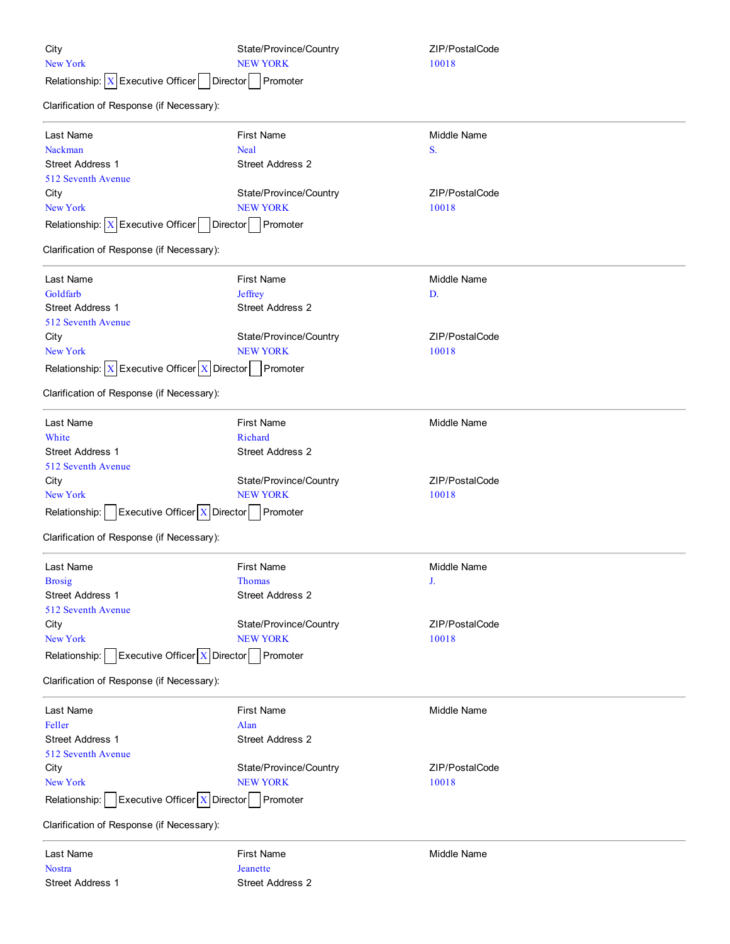| City                                                              | State/Province/Country  | ZIP/PostalCode |
|-------------------------------------------------------------------|-------------------------|----------------|
| New York                                                          | <b>NEW YORK</b>         | 10018          |
| Relationship: $X$ Executive Officer<br><b>Director</b>            | Promoter                |                |
| Clarification of Response (if Necessary):                         |                         |                |
| Last Name                                                         | <b>First Name</b>       | Middle Name    |
| Nackman                                                           | <b>Neal</b>             | S.             |
| Street Address 1                                                  | Street Address 2        |                |
| 512 Seventh Avenue                                                |                         |                |
| City                                                              | State/Province/Country  | ZIP/PostalCode |
| New York                                                          | <b>NEW YORK</b>         | 10018          |
| Relationship: $X$ Executive Officer<br>Director                   | Promoter                |                |
| Clarification of Response (if Necessary):                         |                         |                |
| Last Name                                                         | <b>First Name</b>       | Middle Name    |
| Goldfarb                                                          | Jeffrey                 | D.             |
| <b>Street Address 1</b>                                           | <b>Street Address 2</b> |                |
| 512 Seventh Avenue                                                |                         |                |
| City                                                              | State/Province/Country  | ZIP/PostalCode |
| New York                                                          | <b>NEW YORK</b>         | 10018          |
| Relationship: $X$ Executive Officer $X$ Director                  | Promoter                |                |
| Clarification of Response (if Necessary):                         |                         |                |
| Last Name                                                         | <b>First Name</b>       | Middle Name    |
| White                                                             | Richard                 |                |
| <b>Street Address 1</b>                                           | Street Address 2        |                |
| 512 Seventh Avenue                                                |                         |                |
| City                                                              | State/Province/Country  | ZIP/PostalCode |
| New York                                                          | <b>NEW YORK</b>         | 10018          |
| <b>Executive Officer <math>X</math> Director</b><br>Relationship: | Promoter                |                |
| Clarification of Response (if Necessary):                         |                         |                |
| Last Name                                                         | <b>First Name</b>       | Middle Name    |
| <b>Brosig</b>                                                     | <b>Thomas</b>           | J.             |
| <b>Street Address 1</b>                                           | <b>Street Address 2</b> |                |
| 512 Seventh Avenue                                                |                         |                |
| City                                                              | State/Province/Country  | ZIP/PostalCode |
| New York                                                          | <b>NEW YORK</b>         | 10018          |
| Relationship:   Executive Officer $X$ Director   Promoter         |                         |                |
| Clarification of Response (if Necessary):                         |                         |                |
| Last Name                                                         | <b>First Name</b>       | Middle Name    |
| Feller                                                            | Alan                    |                |
| <b>Street Address 1</b>                                           | <b>Street Address 2</b> |                |
| 512 Seventh Avenue                                                |                         |                |
| City                                                              | State/Province/Country  | ZIP/PostalCode |
| New York                                                          | <b>NEW YORK</b>         | 10018          |
| Executive Officer $X$ Director<br>Relationship:                   | Promoter                |                |
| Clarification of Response (if Necessary):                         |                         |                |
| Last Name                                                         | <b>First Name</b>       | Middle Name    |
| <b>Nostra</b>                                                     | Jeanette                |                |
| Street Address 1                                                  | Street Address 2        |                |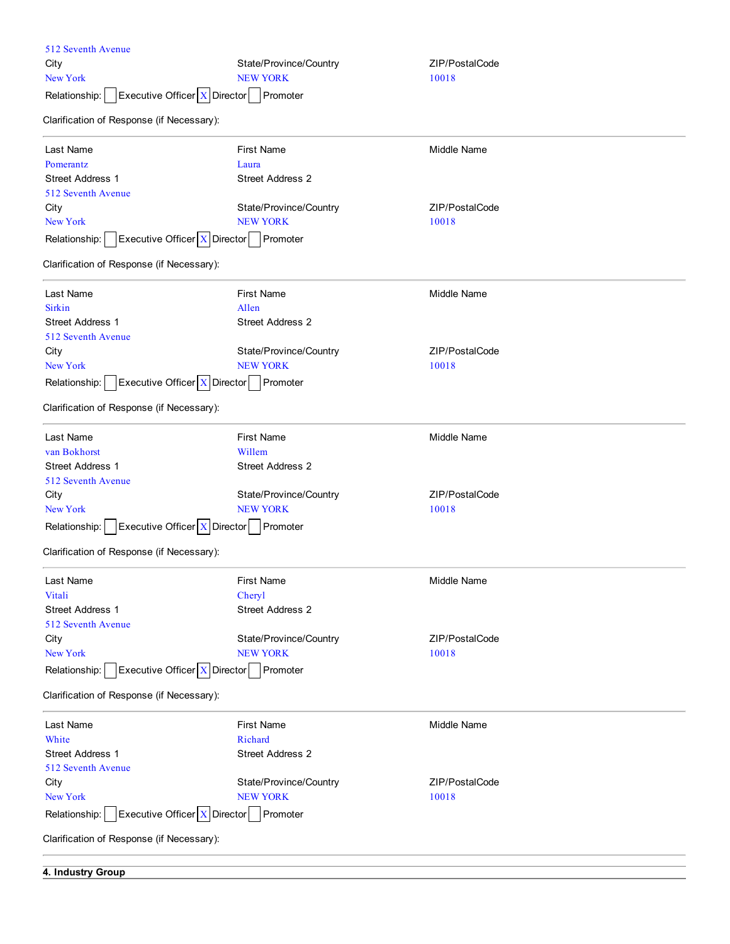| 512 Seventh Avenue                                |                         |                    |  |
|---------------------------------------------------|-------------------------|--------------------|--|
| City                                              | State/Province/Country  | ZIP/PostalCode     |  |
| New York                                          | <b>NEW YORK</b>         | 10018              |  |
| Executive Officer $X$ Director<br>Relationship:   | Promoter                |                    |  |
| Clarification of Response (if Necessary):         |                         |                    |  |
| Last Name                                         | <b>First Name</b>       | <b>Middle Name</b> |  |
| Pomerantz                                         | Laura                   |                    |  |
| <b>Street Address 1</b>                           | <b>Street Address 2</b> |                    |  |
| 512 Seventh Avenue                                |                         |                    |  |
| City                                              | State/Province/Country  | ZIP/PostalCode     |  |
| <b>New York</b>                                   | <b>NEW YORK</b>         | 10018              |  |
| Executive Officer $X$ Director<br>Relationship:   | Promoter                |                    |  |
| Clarification of Response (if Necessary):         |                         |                    |  |
| Last Name                                         | <b>First Name</b>       | <b>Middle Name</b> |  |
| <b>Sirkin</b>                                     | Allen                   |                    |  |
| <b>Street Address 1</b>                           | <b>Street Address 2</b> |                    |  |
| 512 Seventh Avenue                                |                         |                    |  |
| City                                              | State/Province/Country  | ZIP/PostalCode     |  |
| <b>New York</b>                                   | <b>NEW YORK</b>         | 10018              |  |
| Executive Officer   X   Director<br>Relationship: | Promoter                |                    |  |
| Clarification of Response (if Necessary):         |                         |                    |  |
| Last Name                                         | <b>First Name</b>       | <b>Middle Name</b> |  |
| van Bokhorst                                      | Willem                  |                    |  |
| <b>Street Address 1</b>                           | <b>Street Address 2</b> |                    |  |
| 512 Seventh Avenue                                |                         |                    |  |
| City                                              | State/Province/Country  | ZIP/PostalCode     |  |
| <b>New York</b>                                   | <b>NEW YORK</b>         | 10018              |  |
| Executive Officer $X$ Director<br>Relationship:   | Promoter                |                    |  |
| Clarification of Response (if Necessary):         |                         |                    |  |
| Last Name                                         | <b>First Name</b>       | Middle Name        |  |
| Vitali                                            | Cheryl                  |                    |  |
| <b>Street Address 1</b>                           | <b>Street Address 2</b> |                    |  |
| 512 Seventh Avenue                                |                         |                    |  |
| City                                              | State/Province/Country  | ZIP/PostalCode     |  |
| <b>New York</b>                                   | <b>NEW YORK</b>         | 10018              |  |
| Executive Officer X Director<br>Relationship:     | Promoter                |                    |  |
| Clarification of Response (if Necessary):         |                         |                    |  |
| Last Name                                         | <b>First Name</b>       | Middle Name        |  |
| White                                             | Richard                 |                    |  |
| <b>Street Address 1</b>                           | Street Address 2        |                    |  |
| 512 Seventh Avenue                                |                         |                    |  |
| City                                              | State/Province/Country  | ZIP/PostalCode     |  |
| <b>New York</b>                                   | <b>NEW YORK</b>         | 10018              |  |
| Executive Officer   X   Director<br>Relationship: | Promoter                |                    |  |
| Clarification of Response (if Necessary):         |                         |                    |  |
|                                                   |                         |                    |  |

**4. Industry Group**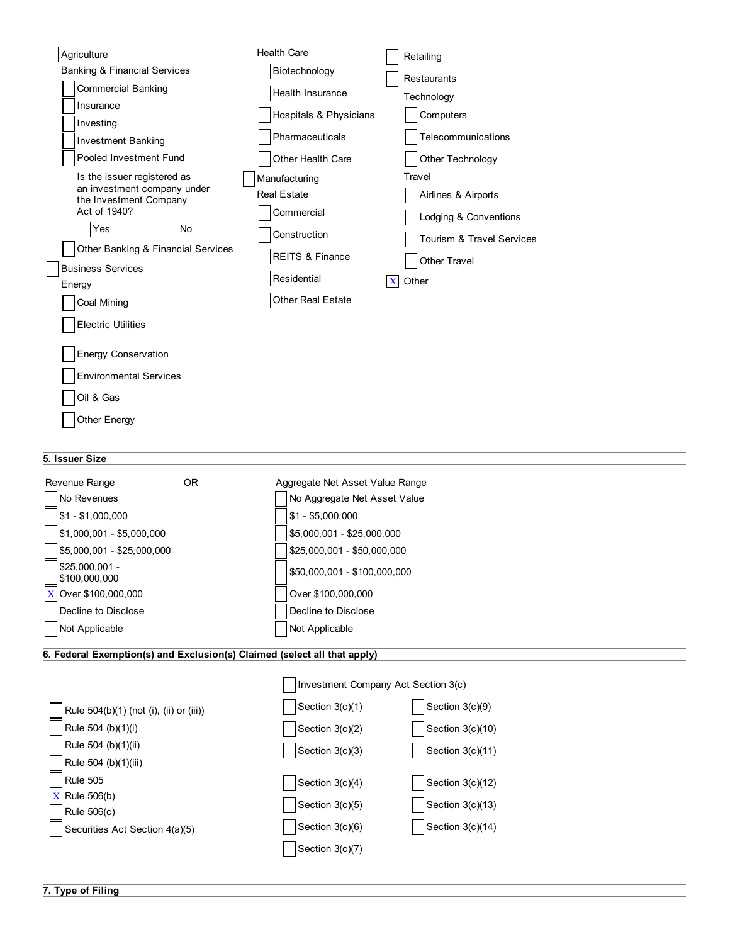| Agriculture                                           | <b>Health Care</b>         | Retailing                            |
|-------------------------------------------------------|----------------------------|--------------------------------------|
| <b>Banking &amp; Financial Services</b>               | Biotechnology              | <b>Restaurants</b>                   |
| <b>Commercial Banking</b>                             | Health Insurance           | Technology                           |
| Insurance                                             | Hospitals & Physicians     | Computers                            |
| Investing                                             | Pharmaceuticals            | Telecommunications                   |
| <b>Investment Banking</b>                             |                            |                                      |
| Pooled Investment Fund                                | Other Health Care          | Other Technology                     |
| Is the issuer registered as                           | Manufacturing              | Travel                               |
| an investment company under<br>the Investment Company | <b>Real Estate</b>         | Airlines & Airports                  |
| Act of 1940?                                          | Commercial                 | Lodging & Conventions                |
| Yes<br><b>No</b>                                      | Construction               | <b>Tourism &amp; Travel Services</b> |
| Other Banking & Financial Services                    | <b>REITS &amp; Finance</b> |                                      |
| <b>Business Services</b>                              |                            | <b>Other Travel</b>                  |
| Energy                                                | Residential                | Other<br>X                           |
| Coal Mining                                           | <b>Other Real Estate</b>   |                                      |
| <b>Electric Utilities</b>                             |                            |                                      |
|                                                       |                            |                                      |
| <b>Energy Conservation</b>                            |                            |                                      |
| <b>Environmental Services</b>                         |                            |                                      |
| Oil & Gas                                             |                            |                                      |
| Other Energy                                          |                            |                                      |

## **5. Issuer Size**

| Revenue Range                    | OR. | Aggregate Net Asset Value Range |
|----------------------------------|-----|---------------------------------|
| No Revenues                      |     | No Aggregate Net Asset Value    |
| $$1 - $1,000,000$                |     | $$1 - $5,000,000$               |
| $$1,000,001 - $5,000,000$        |     | \$5,000,001 - \$25,000,000      |
| \$5,000,001 - \$25,000,000       |     | \$25,000,001 - \$50,000,000     |
| $$25,000,001 -$<br>\$100,000,000 |     | \$50,000,001 - \$100,000,000    |
| $X$ Over \$100,000,000           |     | Over \$100,000,000              |
| Decline to Disclose              |     | Decline to Disclose             |
| Not Applicable                   |     | Not Applicable                  |

# **6. Federal Exemption(s) and Exclusion(s) Claimed (select all that apply)**

|                                         | Investment Company Act Section 3(c) |                    |
|-----------------------------------------|-------------------------------------|--------------------|
| Rule 504(b)(1) (not (i), (ii) or (iii)) | Section $3(c)(1)$                   | Section 3(c)(9)    |
| Rule 504 (b)(1)(i)                      | Section $3(c)(2)$                   | Section 3(c)(10)   |
| Rule 504 (b)(1)(ii)                     | Section $3(c)(3)$                   | Section 3(c)(11)   |
| Rule 504 (b)(1)(iii)                    |                                     |                    |
| <b>Rule 505</b>                         | Section $3(c)(4)$                   | Section $3(c)(12)$ |
| Rule 506(b)                             | Section $3(c)(5)$                   | Section $3(c)(13)$ |
| Rule 506(c)                             |                                     |                    |
| Securities Act Section 4(a)(5)          | Section $3(c)(6)$                   | Section 3(c)(14)   |
|                                         | Section 3(c)(7)                     |                    |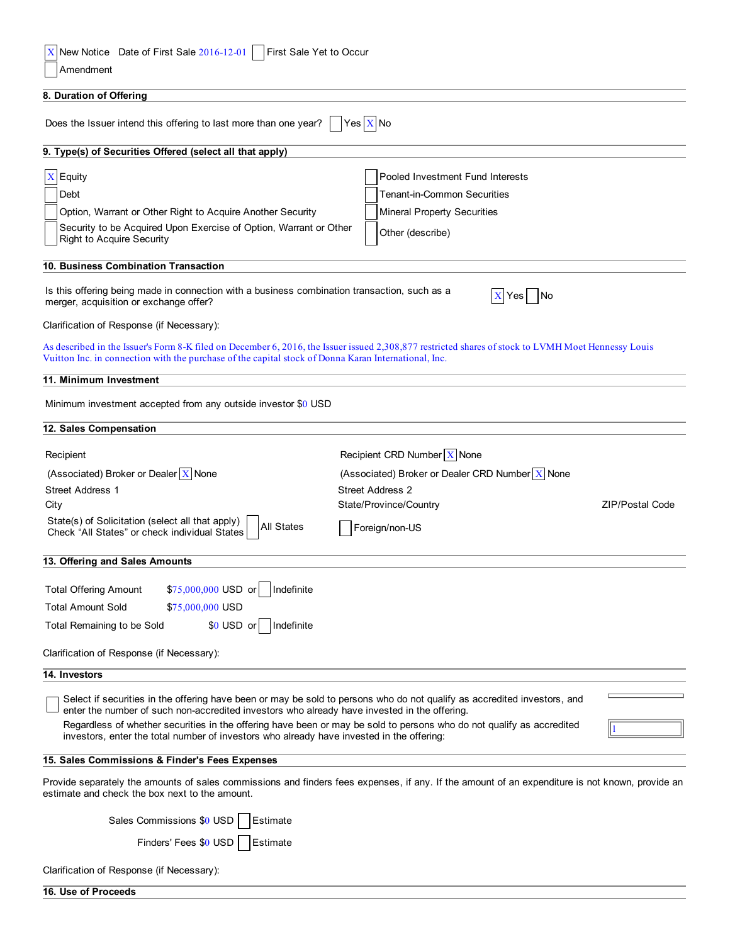| New Notice Date of First Sale 2016-12-01     First Sale Yet to Occur<br>X<br>Amendment                                                                                                                                                                      |
|-------------------------------------------------------------------------------------------------------------------------------------------------------------------------------------------------------------------------------------------------------------|
| 8. Duration of Offering                                                                                                                                                                                                                                     |
|                                                                                                                                                                                                                                                             |
| Yes $X$ No<br>Does the Issuer intend this offering to last more than one year?                                                                                                                                                                              |
| 9. Type(s) of Securities Offered (select all that apply)                                                                                                                                                                                                    |
| $X$ Equity<br>Pooled Investment Fund Interests                                                                                                                                                                                                              |
| Debt<br><b>Tenant-in-Common Securities</b>                                                                                                                                                                                                                  |
| Option, Warrant or Other Right to Acquire Another Security<br><b>Mineral Property Securities</b>                                                                                                                                                            |
| Security to be Acquired Upon Exercise of Option, Warrant or Other<br>Other (describe)<br><b>Right to Acquire Security</b>                                                                                                                                   |
| 10. Business Combination Transaction                                                                                                                                                                                                                        |
| Is this offering being made in connection with a business combination transaction, such as a<br>X Yes No<br>merger, acquisition or exchange offer?                                                                                                          |
| Clarification of Response (if Necessary):                                                                                                                                                                                                                   |
| As described in the Issuer's Form 8-K filed on December 6, 2016, the Issuer issued 2,308,877 restricted shares of stock to LVMH Moet Hennessy Louis<br>Vuitton Inc. in connection with the purchase of the capital stock of Donna Karan International, Inc. |
| 11. Minimum Investment                                                                                                                                                                                                                                      |
| Minimum investment accepted from any outside investor \$0 USD                                                                                                                                                                                               |
| 12. Sales Compensation                                                                                                                                                                                                                                      |
| Recipient CRD Number $X$ None<br>Recipient                                                                                                                                                                                                                  |
| (Associated) Broker or Dealer $X$ None<br>(Associated) Broker or Dealer CRD Number $X$ None                                                                                                                                                                 |
| <b>Street Address 1</b><br><b>Street Address 2</b>                                                                                                                                                                                                          |
| State/Province/Country<br><b>ZIP/Postal Code</b><br>City                                                                                                                                                                                                    |
| State(s) of Solicitation (select all that apply)<br><b>All States</b><br>Foreign/non-US<br>Check "All States" or check individual States                                                                                                                    |
| 13. Offering and Sales Amounts                                                                                                                                                                                                                              |
| \$75,000,000 USD or<br>Indefinite<br><b>Total Offering Amount</b>                                                                                                                                                                                           |
| <b>Total Amount Sold</b><br>\$75,000,000 USD                                                                                                                                                                                                                |
| \$0 USD or<br>Indefinite<br>Total Remaining to be Sold                                                                                                                                                                                                      |
|                                                                                                                                                                                                                                                             |
| Clarification of Response (if Necessary):<br>14. Investors                                                                                                                                                                                                  |
|                                                                                                                                                                                                                                                             |
| Select if securities in the offering have been or may be sold to persons who do not qualify as accredited investors, and<br>enter the number of such non-accredited investors who already have invested in the offering.                                    |
| Regardless of whether securities in the offering have been or may be sold to persons who do not qualify as accredited<br>investors, enter the total number of investors who already have invested in the offering:                                          |
| 15. Sales Commissions & Finder's Fees Expenses                                                                                                                                                                                                              |
| Provide separately the amounts of sales commissions and finders fees expenses, if any. If the amount of an expenditure is not known, provide an<br>estimate and check the box next to the amount.                                                           |
| Sales Commissions \$0 USD<br>Estimate                                                                                                                                                                                                                       |
| Finders' Fees \$0 USD<br>Estimate                                                                                                                                                                                                                           |

| Clarification of Response (if Necessary): |  |  |
|-------------------------------------------|--|--|
|-------------------------------------------|--|--|